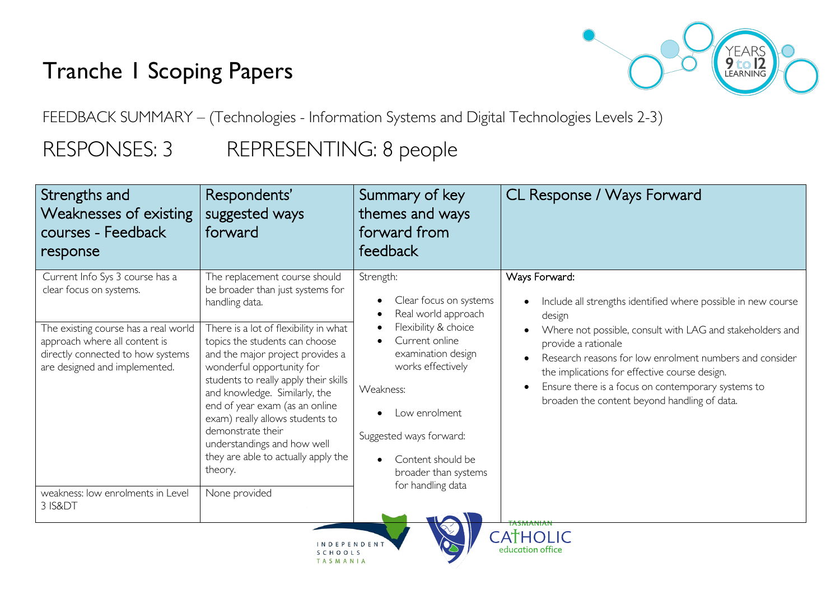# Tranche 1 Scoping Papers



FEEDBACK SUMMARY – (Technologies - Information Systems and Digital Technologies Levels 2-3)

SCHOOLS TASMANIA

## RESPONSES: 3 REPRESENTING: 8 people

| Strengths and<br>Weaknesses of existing<br>courses - Feedback<br>response                                                                   | Respondents'<br>suggested ways<br>forward                                                                                                                                                                                                                                                                                                                                                     | Summary of key<br>themes and ways<br>forward from<br>feedback                                                                                                                                                             | CL Response / Ways Forward                                                                                                                                                                                                                                                                         |
|---------------------------------------------------------------------------------------------------------------------------------------------|-----------------------------------------------------------------------------------------------------------------------------------------------------------------------------------------------------------------------------------------------------------------------------------------------------------------------------------------------------------------------------------------------|---------------------------------------------------------------------------------------------------------------------------------------------------------------------------------------------------------------------------|----------------------------------------------------------------------------------------------------------------------------------------------------------------------------------------------------------------------------------------------------------------------------------------------------|
| Current Info Sys 3 course has a<br>clear focus on systems.                                                                                  | The replacement course should<br>be broader than just systems for<br>handling data.                                                                                                                                                                                                                                                                                                           | Strength:<br>Clear focus on systems<br>٠<br>Real world approach                                                                                                                                                           | Ways Forward:<br>Include all strengths identified where possible in new course<br>$\bullet$<br>design                                                                                                                                                                                              |
| The existing course has a real world<br>approach where all content is<br>directly connected to how systems<br>are designed and implemented. | There is a lot of flexibility in what<br>topics the students can choose<br>and the major project provides a<br>wonderful opportunity for<br>students to really apply their skills<br>and knowledge. Similarly, the<br>end of year exam (as an online<br>exam) really allows students to<br>demonstrate their<br>understandings and how well<br>they are able to actually apply the<br>theory. | Flexibility & choice<br>Current online<br>examination design<br>works effectively<br>Weakness:<br>Low enrolment<br>Suggested ways forward:<br>Content should be<br>$\bullet$<br>broader than systems<br>for handling data | Where not possible, consult with LAG and stakeholders and<br>provide a rationale<br>Research reasons for low enrolment numbers and consider<br>the implications for effective course design.<br>Ensure there is a focus on contemporary systems to<br>broaden the content beyond handling of data. |
| weakness: low enrolments in Level<br>3 IS&DT                                                                                                | None provided                                                                                                                                                                                                                                                                                                                                                                                 |                                                                                                                                                                                                                           | $A+H0$ $C$                                                                                                                                                                                                                                                                                         |

education office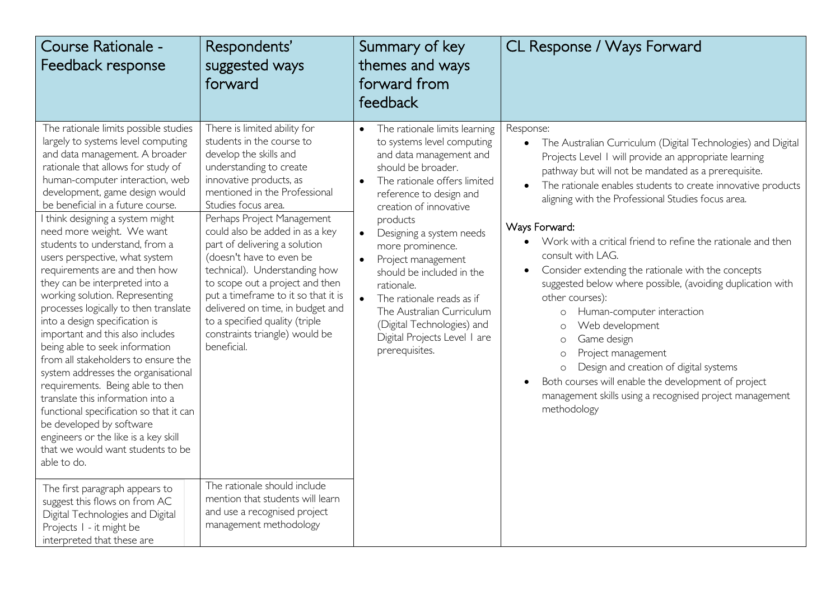| Course Rationale -<br>Feedback response                                                                                                                                                                                                                                                                                                                                                                                                                                                                                                                                                                                                                                                                                                                                                                                                                                                                                                                                                                                                                                                   | Respondents'<br>suggested ways<br>forward                                                                                                                                                                                                                                                                                                                                                                                                                                                                                                                                                                                                                             | Summary of key<br>themes and ways<br>forward from<br>feedback                                                                                                                                                                                                                                                                                                                                                                                                                                                                | CL Response / Ways Forward                                                                                                                                                                                                                                                                                                                                                                                                                                                                                                                                                                                                                                                                                                                                                                                                                                                                  |
|-------------------------------------------------------------------------------------------------------------------------------------------------------------------------------------------------------------------------------------------------------------------------------------------------------------------------------------------------------------------------------------------------------------------------------------------------------------------------------------------------------------------------------------------------------------------------------------------------------------------------------------------------------------------------------------------------------------------------------------------------------------------------------------------------------------------------------------------------------------------------------------------------------------------------------------------------------------------------------------------------------------------------------------------------------------------------------------------|-----------------------------------------------------------------------------------------------------------------------------------------------------------------------------------------------------------------------------------------------------------------------------------------------------------------------------------------------------------------------------------------------------------------------------------------------------------------------------------------------------------------------------------------------------------------------------------------------------------------------------------------------------------------------|------------------------------------------------------------------------------------------------------------------------------------------------------------------------------------------------------------------------------------------------------------------------------------------------------------------------------------------------------------------------------------------------------------------------------------------------------------------------------------------------------------------------------|---------------------------------------------------------------------------------------------------------------------------------------------------------------------------------------------------------------------------------------------------------------------------------------------------------------------------------------------------------------------------------------------------------------------------------------------------------------------------------------------------------------------------------------------------------------------------------------------------------------------------------------------------------------------------------------------------------------------------------------------------------------------------------------------------------------------------------------------------------------------------------------------|
| The rationale limits possible studies<br>largely to systems level computing<br>and data management. A broader<br>rationale that allows for study of<br>human-computer interaction, web<br>development, game design would<br>be beneficial in a future course.<br>I think designing a system might<br>need more weight. We want<br>students to understand, from a<br>users perspective, what system<br>requirements are and then how<br>they can be interpreted into a<br>working solution. Representing<br>processes logically to then translate<br>into a design specification is<br>important and this also includes<br>being able to seek information<br>from all stakeholders to ensure the<br>system addresses the organisational<br>requirements. Being able to then<br>translate this information into a<br>functional specification so that it can<br>be developed by software<br>engineers or the like is a key skill<br>that we would want students to be<br>able to do.<br>The first paragraph appears to<br>suggest this flows on from AC<br>Digital Technologies and Digital | There is limited ability for<br>students in the course to<br>develop the skills and<br>understanding to create<br>innovative products, as<br>mentioned in the Professional<br>Studies focus area.<br>Perhaps Project Management<br>could also be added in as a key<br>part of delivering a solution<br>(doesn't have to even be<br>technical). Understanding how<br>to scope out a project and then<br>put a timeframe to it so that it is<br>delivered on time, in budget and<br>to a specified quality (triple<br>constraints triangle) would be<br>beneficial.<br>The rationale should include<br>mention that students will learn<br>and use a recognised project | The rationale limits learning<br>$\bullet$<br>to systems level computing<br>and data management and<br>should be broader.<br>The rationale offers limited<br>$\bullet$<br>reference to design and<br>creation of innovative<br>products<br>Designing a system needs<br>$\bullet$<br>more prominence.<br>Project management<br>should be included in the<br>rationale.<br>$\bullet$<br>The rationale reads as if<br>The Australian Curriculum<br>(Digital Technologies) and<br>Digital Projects Level I are<br>prerequisites. | Response:<br>The Australian Curriculum (Digital Technologies) and Digital<br>Projects Level 1 will provide an appropriate learning<br>pathway but will not be mandated as a prerequisite.<br>The rationale enables students to create innovative products<br>aligning with the Professional Studies focus area.<br>Ways Forward.<br>Work with a critical friend to refine the rationale and then<br>consult with LAG.<br>Consider extending the rationale with the concepts<br>$\bullet$<br>suggested below where possible, (avoiding duplication with<br>other courses):<br>Human-computer interaction<br>O<br>Web development<br>$\circ$<br>Game design<br>$\circ$<br>Project management<br>$\circ$<br>Design and creation of digital systems<br>$\circ$<br>Both courses will enable the development of project<br>management skills using a recognised project management<br>methodology |
| Projects I - it might be<br>interpreted that these are                                                                                                                                                                                                                                                                                                                                                                                                                                                                                                                                                                                                                                                                                                                                                                                                                                                                                                                                                                                                                                    | management methodology                                                                                                                                                                                                                                                                                                                                                                                                                                                                                                                                                                                                                                                |                                                                                                                                                                                                                                                                                                                                                                                                                                                                                                                              |                                                                                                                                                                                                                                                                                                                                                                                                                                                                                                                                                                                                                                                                                                                                                                                                                                                                                             |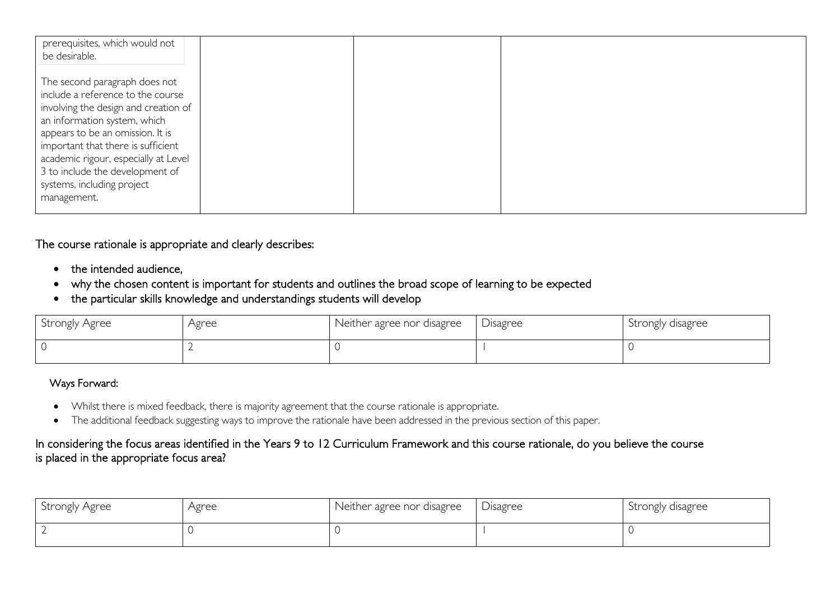| prerequisites, which would not<br>be desirable.                                                                                                                                                                                                                                                                                              |  |  |
|----------------------------------------------------------------------------------------------------------------------------------------------------------------------------------------------------------------------------------------------------------------------------------------------------------------------------------------------|--|--|
| The second paragraph does not<br>include a reference to the course<br>involving the design and creation of<br>an information system, which<br>appears to be an omission. It is<br>important that there is sufficient<br>academic rigour, especially at Level<br>3 to include the development of<br>systems, including project<br>management. |  |  |

#### The course rationale is appropriate and clearly describes:

- the intended audience,
- why the chosen content is important for students and outlines the broad scope of learning to be expected
- the particular skills knowledge and understandings students will develop

| Strongly Agree | Agree | Neither agree nor disagree | <b>Disagree</b> | Strongly disagree |
|----------------|-------|----------------------------|-----------------|-------------------|
|                |       |                            |                 |                   |

#### Ways Forward:

- Whilst there is mixed feedback, there is majority agreement that the course rationale is appropriate.
- The additional feedback suggesting ways to improve the rationale have been addressed in the previous section of this paper.

#### In considering the focus areas identified in the Years 9 to 12 Curriculum Framework and this course rationale, do you believe the course is placed in the appropriate focus area?

| Strongly Agree | Agree | Neither agree nor disagree | Disagree | Strongly disagree |
|----------------|-------|----------------------------|----------|-------------------|
|                |       |                            |          |                   |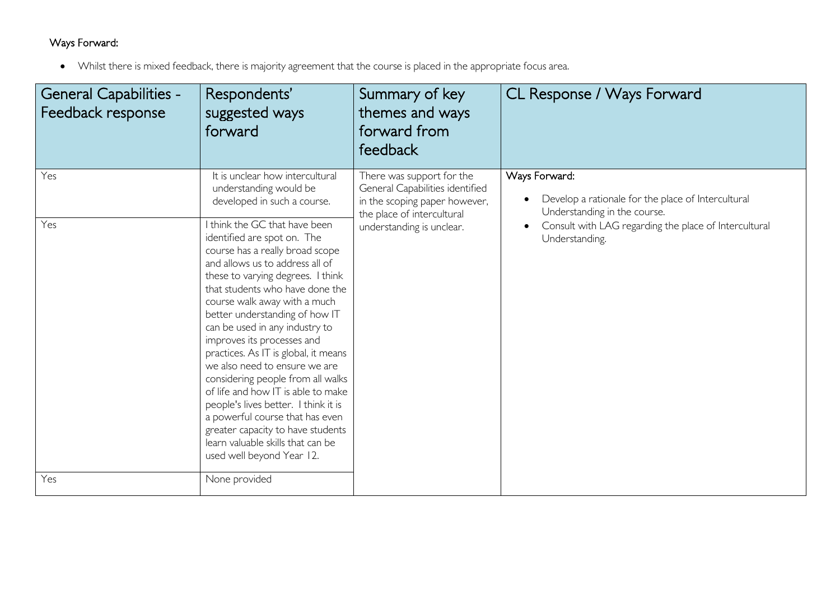### Ways Forward:

• Whilst there is mixed feedback, there is majority agreement that the course is placed in the appropriate focus area.

| <b>General Capabilities -</b><br>Feedback response | Respondents'<br>suggested ways<br>forward                                                                                                                                                                                                                                                                                                                                                                                                                                                                                                                                                                                                         | Summary of key<br>themes and ways<br>forward from<br>feedback                                                                                            | CL Response / Ways Forward                                                                                                                                   |
|----------------------------------------------------|---------------------------------------------------------------------------------------------------------------------------------------------------------------------------------------------------------------------------------------------------------------------------------------------------------------------------------------------------------------------------------------------------------------------------------------------------------------------------------------------------------------------------------------------------------------------------------------------------------------------------------------------------|----------------------------------------------------------------------------------------------------------------------------------------------------------|--------------------------------------------------------------------------------------------------------------------------------------------------------------|
| Yes<br>Yes                                         | It is unclear how intercultural<br>understanding would be<br>developed in such a course.<br>I think the GC that have been                                                                                                                                                                                                                                                                                                                                                                                                                                                                                                                         | There was support for the<br>General Capabilities identified<br>in the scoping paper however,<br>the place of intercultural<br>understanding is unclear. | Ways Forward:<br>Develop a rationale for the place of Intercultural<br>Understanding in the course.<br>Consult with LAG regarding the place of Intercultural |
|                                                    | identified are spot on. The<br>course has a really broad scope<br>and allows us to address all of<br>these to varying degrees. I think<br>that students who have done the<br>course walk away with a much<br>better understanding of how IT<br>can be used in any industry to<br>improves its processes and<br>practices. As IT is global, it means<br>we also need to ensure we are<br>considering people from all walks<br>of life and how IT is able to make<br>people's lives better. I think it is<br>a powerful course that has even<br>greater capacity to have students<br>learn valuable skills that can be<br>used well beyond Year 12. |                                                                                                                                                          | Understanding.                                                                                                                                               |
| Yes                                                | None provided                                                                                                                                                                                                                                                                                                                                                                                                                                                                                                                                                                                                                                     |                                                                                                                                                          |                                                                                                                                                              |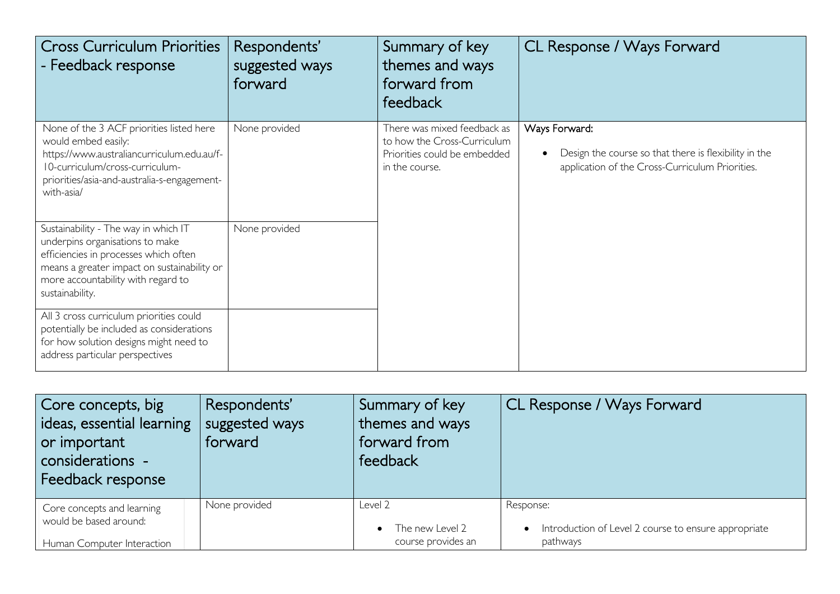| <b>Cross Curriculum Priorities</b><br>- Feedback response                                                                                                                                                                | Respondents'<br>suggested ways<br>forward | Summary of key<br>themes and ways<br>forward from<br>feedback                                                | CL Response / Ways Forward                                                                                                |
|--------------------------------------------------------------------------------------------------------------------------------------------------------------------------------------------------------------------------|-------------------------------------------|--------------------------------------------------------------------------------------------------------------|---------------------------------------------------------------------------------------------------------------------------|
| None of the 3 ACF priorities listed here<br>would embed easily:<br>https://www.australiancurriculum.edu.au/f-<br>10-curriculum/cross-curriculum-<br>priorities/asia-and-australia-s-engagement-<br>with-asia/            | None provided                             | There was mixed feedback as<br>to how the Cross-Curriculum<br>Priorities could be embedded<br>in the course. | Ways Forward:<br>Design the course so that there is flexibility in the<br>application of the Cross-Curriculum Priorities. |
| Sustainability - The way in which IT<br>underpins organisations to make<br>efficiencies in processes which often<br>means a greater impact on sustainability or<br>more accountability with regard to<br>sustainability. | None provided                             |                                                                                                              |                                                                                                                           |
| All 3 cross curriculum priorities could<br>potentially be included as considerations<br>for how solution designs might need to<br>address particular perspectives                                                        |                                           |                                                                                                              |                                                                                                                           |

| Core concepts, big<br>ideas, essential learning<br>or important<br>considerations -<br>Feedback response | Respondents'<br>suggested ways<br>forward | Summary of key<br>themes and ways<br>forward from<br>feedback | CL Response / Ways Forward                           |
|----------------------------------------------------------------------------------------------------------|-------------------------------------------|---------------------------------------------------------------|------------------------------------------------------|
| Core concepts and learning                                                                               | None provided                             | Level 2                                                       | Response:                                            |
| would be based around:                                                                                   |                                           | The new Level 2                                               | Introduction of Level 2 course to ensure appropriate |
| Human Computer Interaction                                                                               |                                           | course provides an                                            | pathways                                             |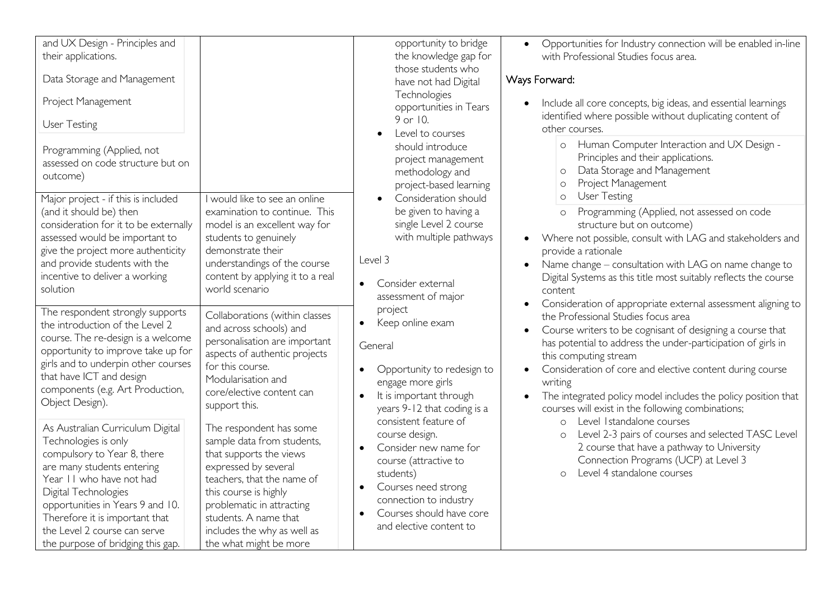| and UX Design - Principles and<br>their applications.<br>Data Storage and Management<br>Project Management<br>User Testing<br>Programming (Applied, not<br>assessed on code structure but on<br>outcome)                                                                                                             |                                                                                                                                                                                                                                                                                | opportunity to bridge<br>the knowledge gap for<br>those students who<br>have not had Digital<br>Technologies<br>opportunities in Tears<br>9 or 10.<br>Level to courses<br>should introduce<br>project management<br>methodology and<br>project-based learning | Opportunities for Industry connection will be enabled in-line<br>$\bullet$<br>with Professional Studies focus area.<br>Ways Forward:<br>Include all core concepts, big ideas, and essential learnings<br>identified where possible without duplicating content of<br>other courses.<br>o Human Computer Interaction and UX Design -<br>Principles and their applications.<br>Data Storage and Management<br>$\circ$<br>Project Management<br>$\circ$                |
|----------------------------------------------------------------------------------------------------------------------------------------------------------------------------------------------------------------------------------------------------------------------------------------------------------------------|--------------------------------------------------------------------------------------------------------------------------------------------------------------------------------------------------------------------------------------------------------------------------------|---------------------------------------------------------------------------------------------------------------------------------------------------------------------------------------------------------------------------------------------------------------|---------------------------------------------------------------------------------------------------------------------------------------------------------------------------------------------------------------------------------------------------------------------------------------------------------------------------------------------------------------------------------------------------------------------------------------------------------------------|
| Major project - if this is included<br>(and it should be) then<br>consideration for it to be externally<br>assessed would be important to<br>give the project more authenticity<br>and provide students with the<br>incentive to deliver a working<br>solution                                                       | I would like to see an online<br>examination to continue. This<br>model is an excellent way for<br>students to genuinely<br>demonstrate their<br>understandings of the course<br>content by applying it to a real<br>world scenario                                            | Consideration should<br>be given to having a<br>single Level 2 course<br>with multiple pathways<br>Level 3<br>Consider external<br>assessment of major                                                                                                        | <b>User Testing</b><br>$\circ$<br>Programming (Applied, not assessed on code<br>$\circ$<br>structure but on outcome)<br>Where not possible, consult with LAG and stakeholders and<br>$\bullet$<br>provide a rationale<br>Name change – consultation with LAG on name change to<br>$\bullet$<br>Digital Systems as this title most suitably reflects the course<br>content                                                                                           |
| The respondent strongly supports<br>the introduction of the Level 2<br>course. The re-design is a welcome<br>opportunity to improve take up for<br>girls and to underpin other courses<br>that have ICT and design<br>components (e.g. Art Production,<br>Object Design).                                            | Collaborations (within classes<br>and across schools) and<br>personalisation are important<br>aspects of authentic projects<br>for this course.<br>Modularisation and<br>core/elective content can<br>support this.                                                            | project<br>Keep online exam<br>General<br>Opportunity to redesign to<br>$\bullet$<br>engage more girls<br>It is important through<br>$\bullet$<br>years 9-12 that coding is a                                                                                 | Consideration of appropriate external assessment aligning to<br>the Professional Studies focus area<br>Course writers to be cognisant of designing a course that<br>$\bullet$<br>has potential to address the under-participation of girls in<br>this computing stream<br>Consideration of core and elective content during course<br>writing<br>The integrated policy model includes the policy position that<br>courses will exist in the following combinations; |
| As Australian Curriculum Digital<br>Technologies is only<br>compulsory to Year 8, there<br>are many students entering<br>Year II who have not had<br>Digital Technologies<br>opportunities in Years 9 and 10.<br>Therefore it is important that<br>the Level 2 course can serve<br>the purpose of bridging this gap. | The respondent has some<br>sample data from students,<br>that supports the views<br>expressed by several<br>teachers, that the name of<br>this course is highly<br>problematic in attracting<br>students. A name that<br>includes the why as well as<br>the what might be more | consistent feature of<br>course design.<br>Consider new name for<br>$\bullet$<br>course (attractive to<br>students)<br>Courses need strong<br>$\bullet$<br>connection to industry<br>Courses should have core<br>$\bullet$<br>and elective content to         | Level Istandalone courses<br>$\circ$<br>Level 2-3 pairs of courses and selected TASC Level<br>$\circ$<br>2 course that have a pathway to University<br>Connection Programs (UCP) at Level 3<br>Level 4 standalone courses<br>$\circ$                                                                                                                                                                                                                                |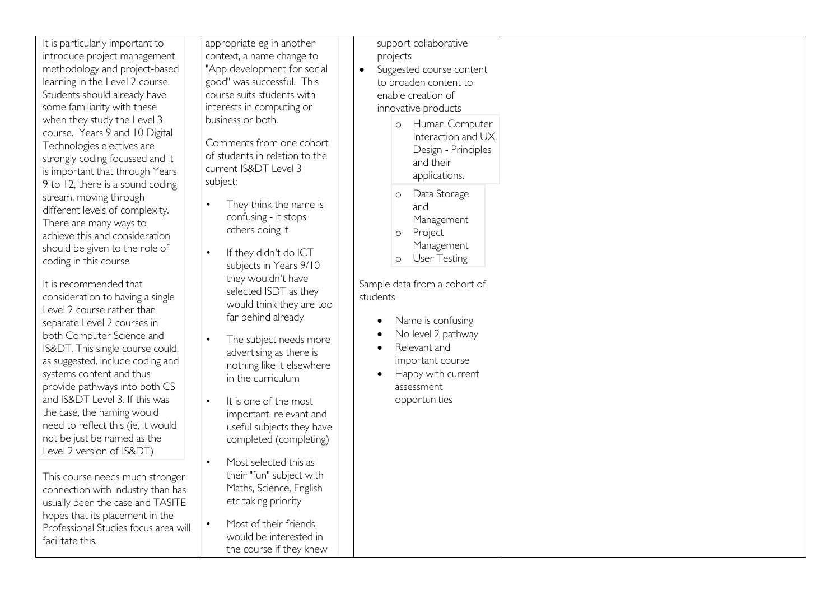| It is particularly important to<br>introduce project management<br>methodology and project-based<br>learning in the Level 2 course.<br>Students should already have<br>some familiarity with these<br>when they study the Level 3<br>course. Years 9 and 10 Digital<br>Technologies electives are<br>strongly coding focussed and it<br>is important that through Years                                                                                                                                                                                                                                                                                | appropriate eg in another<br>context, a name change to<br>"App development for social<br>good" was successful. This<br>course suits students with<br>interests in computing or<br>business or both.<br>Comments from one cohort<br>of students in relation to the<br>current IS&DT Level 3                                                                                                                                                                                                              | support collaborative<br>projects<br>Suggested course content<br>$\bullet$<br>to broaden content to<br>enable creation of<br>innovative products<br>Human Computer<br>$\circ$<br>Interaction and UX<br>Design - Principles<br>and their                                                                                                       |
|--------------------------------------------------------------------------------------------------------------------------------------------------------------------------------------------------------------------------------------------------------------------------------------------------------------------------------------------------------------------------------------------------------------------------------------------------------------------------------------------------------------------------------------------------------------------------------------------------------------------------------------------------------|---------------------------------------------------------------------------------------------------------------------------------------------------------------------------------------------------------------------------------------------------------------------------------------------------------------------------------------------------------------------------------------------------------------------------------------------------------------------------------------------------------|-----------------------------------------------------------------------------------------------------------------------------------------------------------------------------------------------------------------------------------------------------------------------------------------------------------------------------------------------|
| 9 to 12, there is a sound coding<br>stream, moving through<br>different levels of complexity.<br>There are many ways to<br>achieve this and consideration<br>should be given to the role of<br>coding in this course<br>It is recommended that<br>consideration to having a single<br>Level 2 course rather than<br>separate Level 2 courses in<br>both Computer Science and<br>IS&DT. This single course could,<br>as suggested, include coding and<br>systems content and thus<br>provide pathways into both CS<br>and IS&DT Level 3. If this was<br>the case, the naming would<br>need to reflect this (ie, it would<br>not be just be named as the | subject:<br>They think the name is<br>$\bullet$<br>confusing - it stops<br>others doing it<br>If they didn't do ICT<br>$\bullet$<br>subjects in Years 9/10<br>they wouldn't have<br>selected ISDT as they<br>would think they are too<br>far behind already<br>The subject needs more<br>$\bullet$<br>advertising as there is<br>nothing like it elsewhere<br>in the curriculum<br>It is one of the most<br>$\bullet$<br>important, relevant and<br>useful subjects they have<br>completed (completing) | applications.<br>Data Storage<br>$\circ$<br>and<br>Management<br>Project<br>$\circ$<br>Management<br><b>User Testing</b><br>$\circ$<br>Sample data from a cohort of<br>students<br>Name is confusing<br>$\bullet$<br>No level 2 pathway<br>Relevant and<br>$\bullet$<br>important course<br>Happy with current<br>assessment<br>opportunities |
| Level 2 version of IS&DT)<br>This course needs much stronger<br>connection with industry than has<br>usually been the case and TASITE<br>hopes that its placement in the<br>Professional Studies focus area will<br>facilitate this.                                                                                                                                                                                                                                                                                                                                                                                                                   | Most selected this as<br>$\bullet$<br>their "fun" subject with<br>Maths, Science, English<br>etc taking priority<br>Most of their friends<br>$\bullet$<br>would be interested in<br>the course if they knew                                                                                                                                                                                                                                                                                             |                                                                                                                                                                                                                                                                                                                                               |